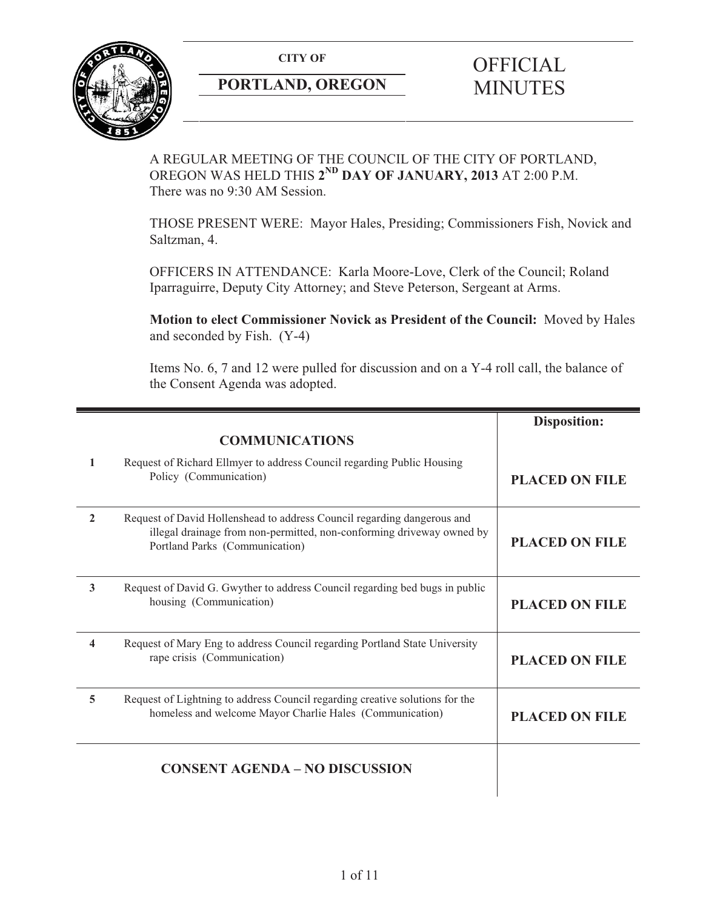**CITY OF** 



# **PORTLAND, OREGON**

# **OFFICIAL** MINUTES

A REGULAR MEETING OF THE COUNCIL OF THE CITY OF PORTLAND, OREGON WAS HELD THIS **2ND DAY OF JANUARY, 2013** AT 2:00 P.M. There was no 9:30 AM Session.

THOSE PRESENT WERE: Mayor Hales, Presiding; Commissioners Fish, Novick and Saltzman, 4.

OFFICERS IN ATTENDANCE: Karla Moore-Love, Clerk of the Council; Roland Iparraguirre, Deputy City Attorney; and Steve Peterson, Sergeant at Arms.

**Motion to elect Commissioner Novick as President of the Council:** Moved by Hales and seconded by Fish. (Y-4)

Items No. 6, 7 and 12 were pulled for discussion and on a Y-4 roll call, the balance of the Consent Agenda was adopted.

|              |                                                                                                                                                                                    | <b>Disposition:</b>   |
|--------------|------------------------------------------------------------------------------------------------------------------------------------------------------------------------------------|-----------------------|
|              | <b>COMMUNICATIONS</b>                                                                                                                                                              |                       |
| $\mathbf{1}$ | Request of Richard Ellmyer to address Council regarding Public Housing<br>Policy (Communication)                                                                                   | <b>PLACED ON FILE</b> |
| $\mathbf{2}$ | Request of David Hollenshead to address Council regarding dangerous and<br>illegal drainage from non-permitted, non-conforming driveway owned by<br>Portland Parks (Communication) | <b>PLACED ON FILE</b> |
| 3            | Request of David G. Gwyther to address Council regarding bed bugs in public<br>housing (Communication)                                                                             | <b>PLACED ON FILE</b> |
| 4            | Request of Mary Eng to address Council regarding Portland State University<br>rape crisis (Communication)                                                                          | <b>PLACED ON FILE</b> |
| 5            | Request of Lightning to address Council regarding creative solutions for the<br>homeless and welcome Mayor Charlie Hales (Communication)                                           | <b>PLACED ON FILE</b> |
|              | <b>CONSENT AGENDA - NO DISCUSSION</b>                                                                                                                                              |                       |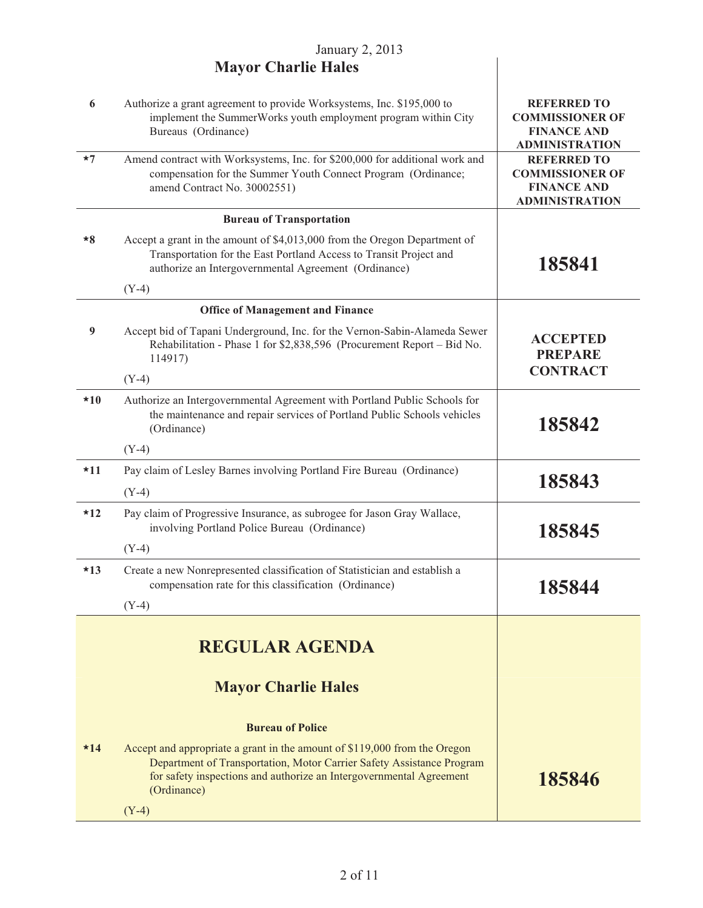| 6     | Authorize a grant agreement to provide Worksystems, Inc. \$195,000 to<br>implement the SummerWorks youth employment program within City<br>Bureaus (Ordinance)                                                                           | <b>REFERRED TO</b><br><b>COMMISSIONER OF</b><br><b>FINANCE AND</b><br><b>ADMINISTRATION</b> |
|-------|------------------------------------------------------------------------------------------------------------------------------------------------------------------------------------------------------------------------------------------|---------------------------------------------------------------------------------------------|
| $*7$  | Amend contract with Worksystems, Inc. for \$200,000 for additional work and<br>compensation for the Summer Youth Connect Program (Ordinance;<br>amend Contract No. 30002551)                                                             | <b>REFERRED TO</b><br><b>COMMISSIONER OF</b><br><b>FINANCE AND</b><br><b>ADMINISTRATION</b> |
|       | <b>Bureau of Transportation</b>                                                                                                                                                                                                          |                                                                                             |
| $*8$  | Accept a grant in the amount of \$4,013,000 from the Oregon Department of<br>Transportation for the East Portland Access to Transit Project and<br>authorize an Intergovernmental Agreement (Ordinance)                                  | 185841                                                                                      |
|       | $(Y-4)$                                                                                                                                                                                                                                  |                                                                                             |
|       | <b>Office of Management and Finance</b>                                                                                                                                                                                                  |                                                                                             |
| 9     | Accept bid of Tapani Underground, Inc. for the Vernon-Sabin-Alameda Sewer<br>Rehabilitation - Phase 1 for \$2,838,596 (Procurement Report - Bid No.<br>114917)                                                                           | <b>ACCEPTED</b><br><b>PREPARE</b><br><b>CONTRACT</b>                                        |
|       | $(Y-4)$                                                                                                                                                                                                                                  |                                                                                             |
| $*10$ | Authorize an Intergovernmental Agreement with Portland Public Schools for<br>the maintenance and repair services of Portland Public Schools vehicles<br>(Ordinance)                                                                      | 185842                                                                                      |
|       | $(Y-4)$                                                                                                                                                                                                                                  |                                                                                             |
| $*11$ | Pay claim of Lesley Barnes involving Portland Fire Bureau (Ordinance)                                                                                                                                                                    | 185843                                                                                      |
|       | $(Y-4)$                                                                                                                                                                                                                                  |                                                                                             |
| $*12$ | Pay claim of Progressive Insurance, as subrogee for Jason Gray Wallace,<br>involving Portland Police Bureau (Ordinance)                                                                                                                  | 185845                                                                                      |
|       | $(Y-4)$                                                                                                                                                                                                                                  |                                                                                             |
| $*13$ | Create a new Nonrepresented classification of Statistician and establish a<br>compensation rate for this classification (Ordinance)                                                                                                      | 185844                                                                                      |
|       | $(Y-4)$                                                                                                                                                                                                                                  |                                                                                             |
|       | <b>REGULAR AGENDA</b><br><b>Mayor Charlie Hales</b>                                                                                                                                                                                      |                                                                                             |
|       | <b>Bureau of Police</b>                                                                                                                                                                                                                  |                                                                                             |
| $*14$ |                                                                                                                                                                                                                                          |                                                                                             |
|       | Accept and appropriate a grant in the amount of \$119,000 from the Oregon<br>Department of Transportation, Motor Carrier Safety Assistance Program<br>for safety inspections and authorize an Intergovernmental Agreement<br>(Ordinance) | 185846                                                                                      |
|       | $(Y-4)$                                                                                                                                                                                                                                  |                                                                                             |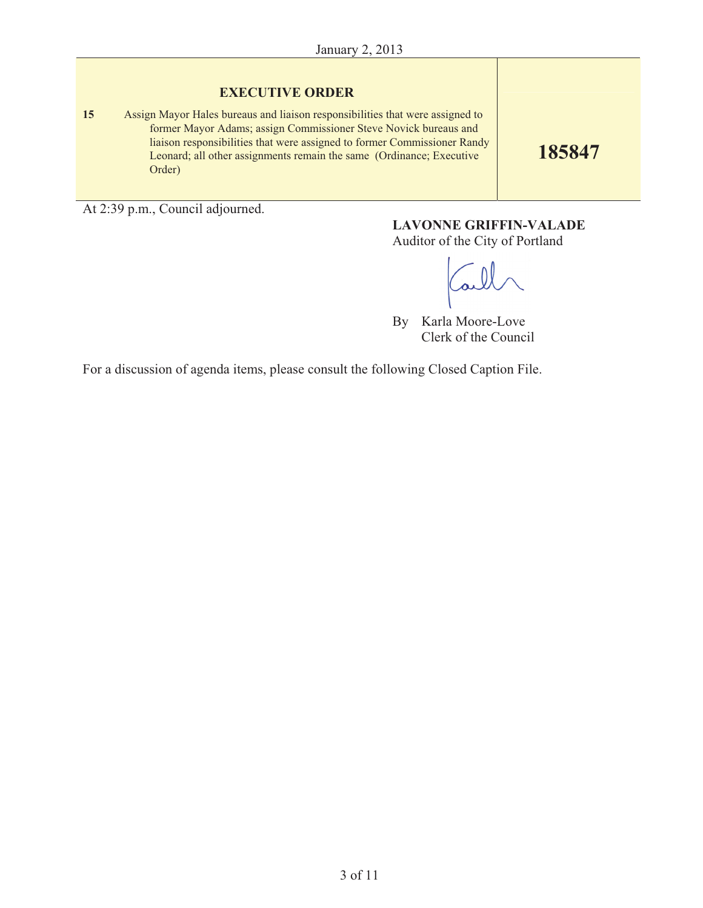#### **EXECUTIVE ORDER**

**15** Assign Mayor Hales bureaus and liaison responsibilities that were assigned to former Mayor Adams; assign Commissioner Steve Novick bureaus and liaison responsibilities that were assigned to former Commissioner Randy Leonard; all other assignments remain the same (Ordinance; Executive Order)

**185847**

At 2:39 p.m., Council adjourned.

# **LAVONNE GRIFFIN-VALADE**

Auditor of the City of Portland

By Karla Moore-Love Clerk of the Council

For a discussion of agenda items, please consult the following Closed Caption File.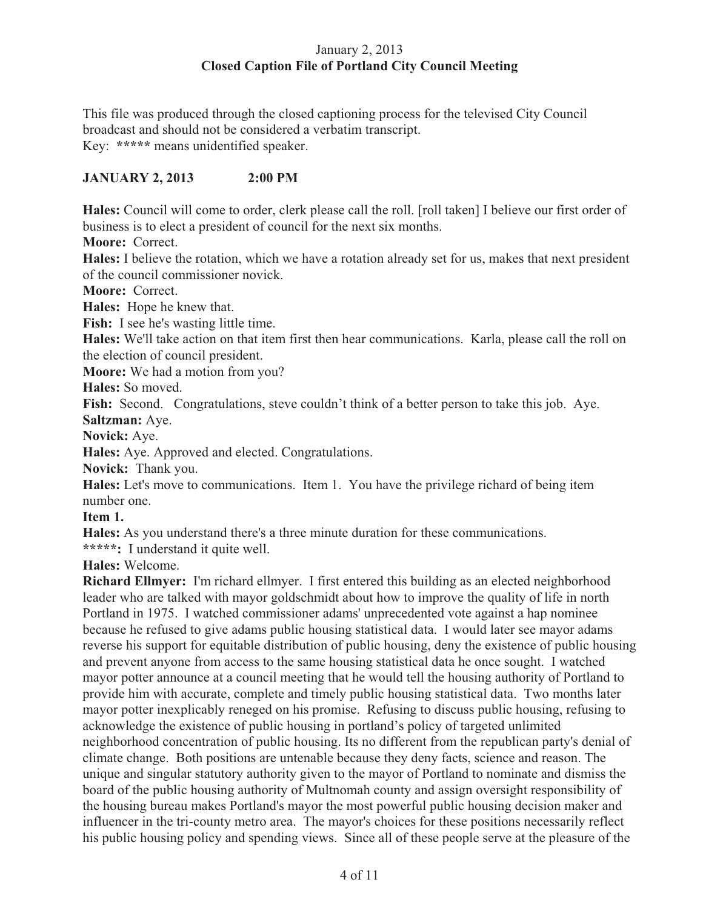## January 2, 2013 **Closed Caption File of Portland City Council Meeting**

This file was produced through the closed captioning process for the televised City Council broadcast and should not be considered a verbatim transcript. Key: **\*\*\*\*\*** means unidentified speaker.

# **JANUARY 2, 2013 2:00 PM**

**Hales:** Council will come to order, clerk please call the roll. [roll taken] I believe our first order of business is to elect a president of council for the next six months.

**Moore:** Correct.

**Hales:** I believe the rotation, which we have a rotation already set for us, makes that next president of the council commissioner novick.

**Moore:** Correct.

**Hales:** Hope he knew that.

**Fish:** I see he's wasting little time.

**Hales:** We'll take action on that item first then hear communications. Karla, please call the roll on the election of council president.

**Moore:** We had a motion from you?

**Hales:** So moved.

**Fish:** Second. Congratulations, steve couldn't think of a better person to take this job. Aye. **Saltzman:** Aye.

**Novick:** Aye.

**Hales:** Aye. Approved and elected. Congratulations.

**Novick:** Thank you.

**Hales:** Let's move to communications. Item 1. You have the privilege richard of being item number one.

**Item 1.** 

**Hales:** As you understand there's a three minute duration for these communications.

**\*\*\*\*\*:** I understand it quite well.

**Hales:** Welcome.

**Richard Ellmyer:** I'm richard ellmyer. I first entered this building as an elected neighborhood leader who are talked with mayor goldschmidt about how to improve the quality of life in north Portland in 1975. I watched commissioner adams' unprecedented vote against a hap nominee because he refused to give adams public housing statistical data. I would later see mayor adams reverse his support for equitable distribution of public housing, deny the existence of public housing and prevent anyone from access to the same housing statistical data he once sought. I watched mayor potter announce at a council meeting that he would tell the housing authority of Portland to provide him with accurate, complete and timely public housing statistical data. Two months later mayor potter inexplicably reneged on his promise. Refusing to discuss public housing, refusing to acknowledge the existence of public housing in portland's policy of targeted unlimited neighborhood concentration of public housing. Its no different from the republican party's denial of climate change. Both positions are untenable because they deny facts, science and reason. The unique and singular statutory authority given to the mayor of Portland to nominate and dismiss the board of the public housing authority of Multnomah county and assign oversight responsibility of the housing bureau makes Portland's mayor the most powerful public housing decision maker and influencer in the tri-county metro area. The mayor's choices for these positions necessarily reflect his public housing policy and spending views. Since all of these people serve at the pleasure of the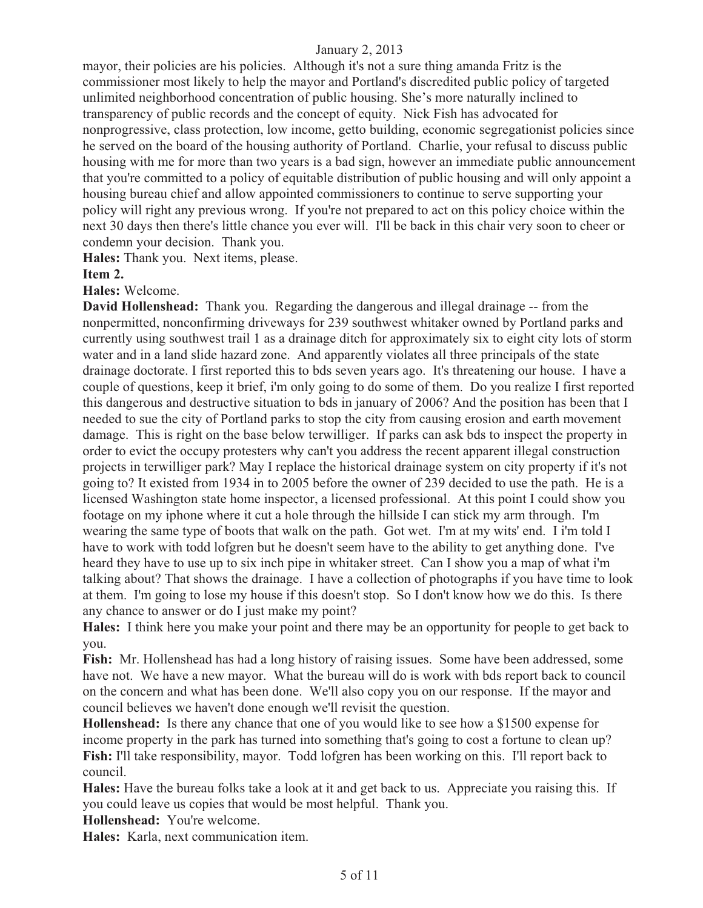mayor, their policies are his policies. Although it's not a sure thing amanda Fritz is the commissioner most likely to help the mayor and Portland's discredited public policy of targeted unlimited neighborhood concentration of public housing. She's more naturally inclined to transparency of public records and the concept of equity. Nick Fish has advocated for nonprogressive, class protection, low income, getto building, economic segregationist policies since he served on the board of the housing authority of Portland. Charlie, your refusal to discuss public housing with me for more than two years is a bad sign, however an immediate public announcement that you're committed to a policy of equitable distribution of public housing and will only appoint a housing bureau chief and allow appointed commissioners to continue to serve supporting your policy will right any previous wrong. If you're not prepared to act on this policy choice within the next 30 days then there's little chance you ever will. I'll be back in this chair very soon to cheer or condemn your decision. Thank you.

**Hales:** Thank you. Next items, please.

#### **Item 2.**

**Hales:** Welcome.

**David Hollenshead:** Thank you. Regarding the dangerous and illegal drainage -- from the nonpermitted, nonconfirming driveways for 239 southwest whitaker owned by Portland parks and currently using southwest trail 1 as a drainage ditch for approximately six to eight city lots of storm water and in a land slide hazard zone. And apparently violates all three principals of the state drainage doctorate. I first reported this to bds seven years ago. It's threatening our house. I have a couple of questions, keep it brief, i'm only going to do some of them. Do you realize I first reported this dangerous and destructive situation to bds in january of 2006? And the position has been that I needed to sue the city of Portland parks to stop the city from causing erosion and earth movement damage. This is right on the base below terwilliger. If parks can ask bds to inspect the property in order to evict the occupy protesters why can't you address the recent apparent illegal construction projects in terwilliger park? May I replace the historical drainage system on city property if it's not going to? It existed from 1934 in to 2005 before the owner of 239 decided to use the path. He is a licensed Washington state home inspector, a licensed professional. At this point I could show you footage on my iphone where it cut a hole through the hillside I can stick my arm through. I'm wearing the same type of boots that walk on the path. Got wet. I'm at my wits' end. I i'm told I have to work with todd lofgren but he doesn't seem have to the ability to get anything done. I've heard they have to use up to six inch pipe in whitaker street. Can I show you a map of what i'm talking about? That shows the drainage. I have a collection of photographs if you have time to look at them. I'm going to lose my house if this doesn't stop. So I don't know how we do this. Is there any chance to answer or do I just make my point?

**Hales:** I think here you make your point and there may be an opportunity for people to get back to you.

**Fish:** Mr. Hollenshead has had a long history of raising issues. Some have been addressed, some have not. We have a new mayor. What the bureau will do is work with bds report back to council on the concern and what has been done. We'll also copy you on our response. If the mayor and council believes we haven't done enough we'll revisit the question.

**Hollenshead:** Is there any chance that one of you would like to see how a \$1500 expense for income property in the park has turned into something that's going to cost a fortune to clean up? **Fish:** I'll take responsibility, mayor. Todd lofgren has been working on this. I'll report back to council.

**Hales:** Have the bureau folks take a look at it and get back to us. Appreciate you raising this. If you could leave us copies that would be most helpful. Thank you.

**Hollenshead:** You're welcome.

**Hales:** Karla, next communication item.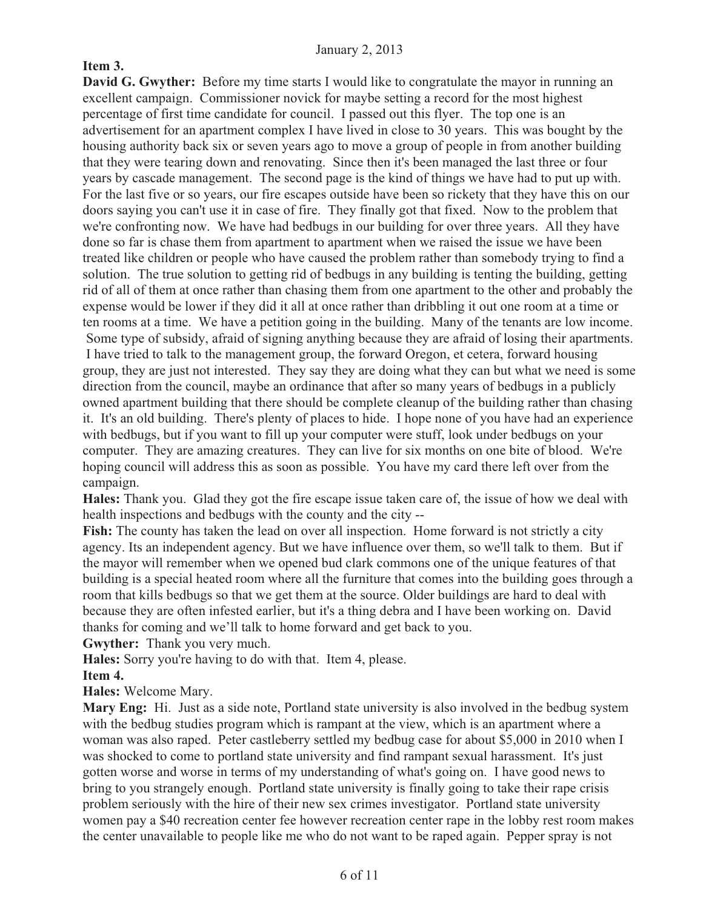# **Item 3.**

**David G. Gwyther:** Before my time starts I would like to congratulate the mayor in running an excellent campaign. Commissioner novick for maybe setting a record for the most highest percentage of first time candidate for council. I passed out this flyer. The top one is an advertisement for an apartment complex I have lived in close to 30 years. This was bought by the housing authority back six or seven years ago to move a group of people in from another building that they were tearing down and renovating. Since then it's been managed the last three or four years by cascade management. The second page is the kind of things we have had to put up with. For the last five or so years, our fire escapes outside have been so rickety that they have this on our doors saying you can't use it in case of fire. They finally got that fixed. Now to the problem that we're confronting now. We have had bedbugs in our building for over three years. All they have done so far is chase them from apartment to apartment when we raised the issue we have been treated like children or people who have caused the problem rather than somebody trying to find a solution. The true solution to getting rid of bedbugs in any building is tenting the building, getting rid of all of them at once rather than chasing them from one apartment to the other and probably the expense would be lower if they did it all at once rather than dribbling it out one room at a time or ten rooms at a time. We have a petition going in the building. Many of the tenants are low income. Some type of subsidy, afraid of signing anything because they are afraid of losing their apartments. I have tried to talk to the management group, the forward Oregon, et cetera, forward housing group, they are just not interested. They say they are doing what they can but what we need is some direction from the council, maybe an ordinance that after so many years of bedbugs in a publicly owned apartment building that there should be complete cleanup of the building rather than chasing it. It's an old building. There's plenty of places to hide. I hope none of you have had an experience with bedbugs, but if you want to fill up your computer were stuff, look under bedbugs on your computer. They are amazing creatures. They can live for six months on one bite of blood. We're hoping council will address this as soon as possible. You have my card there left over from the campaign.

**Hales:** Thank you. Glad they got the fire escape issue taken care of, the issue of how we deal with health inspections and bedbugs with the county and the city --

**Fish:** The county has taken the lead on over all inspection. Home forward is not strictly a city agency. Its an independent agency. But we have influence over them, so we'll talk to them. But if the mayor will remember when we opened bud clark commons one of the unique features of that building is a special heated room where all the furniture that comes into the building goes through a room that kills bedbugs so that we get them at the source. Older buildings are hard to deal with because they are often infested earlier, but it's a thing debra and I have been working on. David thanks for coming and we'll talk to home forward and get back to you.

**Gwyther:** Thank you very much.

**Hales:** Sorry you're having to do with that. Item 4, please.

**Item 4.** 

**Hales:** Welcome Mary.

**Mary Eng:** Hi. Just as a side note, Portland state university is also involved in the bedbug system with the bedbug studies program which is rampant at the view, which is an apartment where a woman was also raped. Peter castleberry settled my bedbug case for about \$5,000 in 2010 when I was shocked to come to portland state university and find rampant sexual harassment. It's just gotten worse and worse in terms of my understanding of what's going on. I have good news to bring to you strangely enough. Portland state university is finally going to take their rape crisis problem seriously with the hire of their new sex crimes investigator. Portland state university women pay a \$40 recreation center fee however recreation center rape in the lobby rest room makes the center unavailable to people like me who do not want to be raped again. Pepper spray is not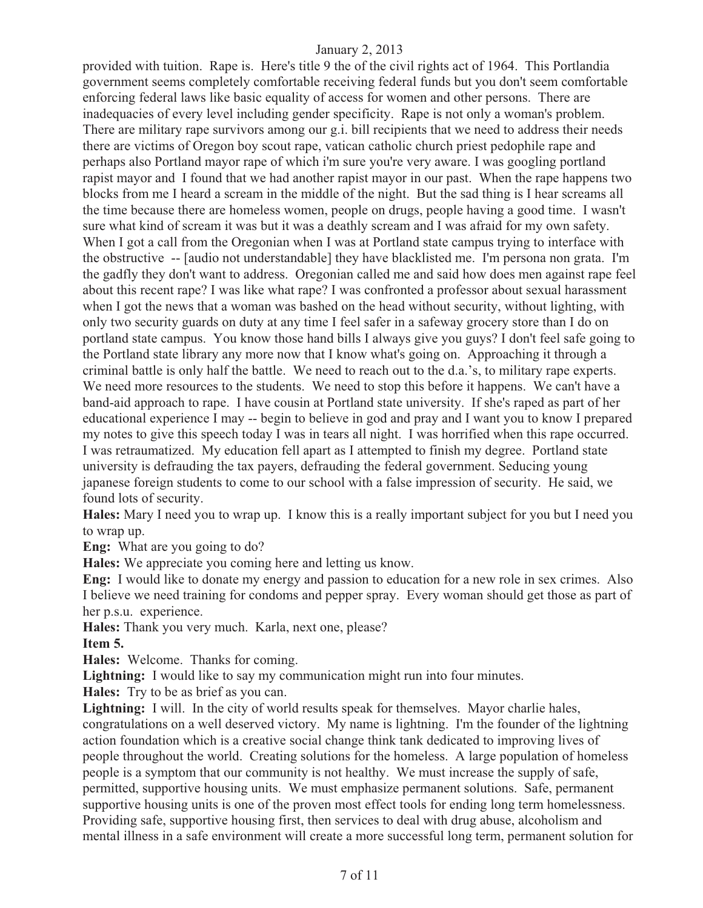provided with tuition. Rape is. Here's title 9 the of the civil rights act of 1964. This Portlandia government seems completely comfortable receiving federal funds but you don't seem comfortable enforcing federal laws like basic equality of access for women and other persons. There are inadequacies of every level including gender specificity. Rape is not only a woman's problem. There are military rape survivors among our g.i. bill recipients that we need to address their needs there are victims of Oregon boy scout rape, vatican catholic church priest pedophile rape and perhaps also Portland mayor rape of which i'm sure you're very aware. I was googling portland rapist mayor and I found that we had another rapist mayor in our past. When the rape happens two blocks from me I heard a scream in the middle of the night. But the sad thing is I hear screams all the time because there are homeless women, people on drugs, people having a good time. I wasn't sure what kind of scream it was but it was a deathly scream and I was afraid for my own safety. When I got a call from the Oregonian when I was at Portland state campus trying to interface with the obstructive -- [audio not understandable] they have blacklisted me. I'm persona non grata. I'm the gadfly they don't want to address. Oregonian called me and said how does men against rape feel about this recent rape? I was like what rape? I was confronted a professor about sexual harassment when I got the news that a woman was bashed on the head without security, without lighting, with only two security guards on duty at any time I feel safer in a safeway grocery store than I do on portland state campus. You know those hand bills I always give you guys? I don't feel safe going to the Portland state library any more now that I know what's going on. Approaching it through a criminal battle is only half the battle. We need to reach out to the d.a.'s, to military rape experts. We need more resources to the students. We need to stop this before it happens. We can't have a band-aid approach to rape. I have cousin at Portland state university. If she's raped as part of her educational experience I may -- begin to believe in god and pray and I want you to know I prepared my notes to give this speech today I was in tears all night. I was horrified when this rape occurred. I was retraumatized. My education fell apart as I attempted to finish my degree. Portland state university is defrauding the tax payers, defrauding the federal government. Seducing young japanese foreign students to come to our school with a false impression of security. He said, we found lots of security.

**Hales:** Mary I need you to wrap up. I know this is a really important subject for you but I need you to wrap up.

**Eng:** What are you going to do?

**Hales:** We appreciate you coming here and letting us know.

**Eng:** I would like to donate my energy and passion to education for a new role in sex crimes. Also I believe we need training for condoms and pepper spray. Every woman should get those as part of her p.s.u. experience.

**Hales:** Thank you very much. Karla, next one, please? **Item 5.** 

**Hales:** Welcome. Thanks for coming.

**Lightning:** I would like to say my communication might run into four minutes.

**Hales:** Try to be as brief as you can.

**Lightning:** I will. In the city of world results speak for themselves. Mayor charlie hales, congratulations on a well deserved victory. My name is lightning. I'm the founder of the lightning action foundation which is a creative social change think tank dedicated to improving lives of people throughout the world. Creating solutions for the homeless. A large population of homeless people is a symptom that our community is not healthy. We must increase the supply of safe, permitted, supportive housing units. We must emphasize permanent solutions. Safe, permanent supportive housing units is one of the proven most effect tools for ending long term homelessness. Providing safe, supportive housing first, then services to deal with drug abuse, alcoholism and mental illness in a safe environment will create a more successful long term, permanent solution for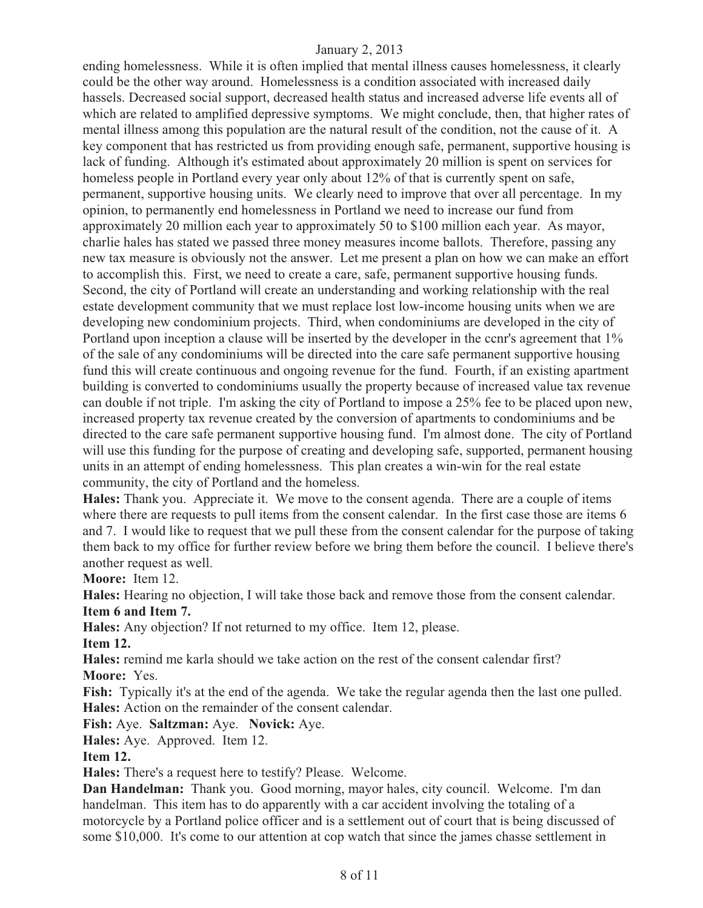ending homelessness. While it is often implied that mental illness causes homelessness, it clearly could be the other way around. Homelessness is a condition associated with increased daily hassels. Decreased social support, decreased health status and increased adverse life events all of which are related to amplified depressive symptoms. We might conclude, then, that higher rates of mental illness among this population are the natural result of the condition, not the cause of it. A key component that has restricted us from providing enough safe, permanent, supportive housing is lack of funding. Although it's estimated about approximately 20 million is spent on services for homeless people in Portland every year only about 12% of that is currently spent on safe, permanent, supportive housing units. We clearly need to improve that over all percentage. In my opinion, to permanently end homelessness in Portland we need to increase our fund from approximately 20 million each year to approximately 50 to \$100 million each year. As mayor, charlie hales has stated we passed three money measures income ballots. Therefore, passing any new tax measure is obviously not the answer. Let me present a plan on how we can make an effort to accomplish this. First, we need to create a care, safe, permanent supportive housing funds. Second, the city of Portland will create an understanding and working relationship with the real estate development community that we must replace lost low-income housing units when we are developing new condominium projects. Third, when condominiums are developed in the city of Portland upon inception a clause will be inserted by the developer in the conr's agreement that  $1\%$ of the sale of any condominiums will be directed into the care safe permanent supportive housing fund this will create continuous and ongoing revenue for the fund. Fourth, if an existing apartment building is converted to condominiums usually the property because of increased value tax revenue can double if not triple. I'm asking the city of Portland to impose a 25% fee to be placed upon new, increased property tax revenue created by the conversion of apartments to condominiums and be directed to the care safe permanent supportive housing fund. I'm almost done. The city of Portland will use this funding for the purpose of creating and developing safe, supported, permanent housing units in an attempt of ending homelessness. This plan creates a win-win for the real estate community, the city of Portland and the homeless.

**Hales:** Thank you. Appreciate it. We move to the consent agenda. There are a couple of items where there are requests to pull items from the consent calendar. In the first case those are items 6 and 7. I would like to request that we pull these from the consent calendar for the purpose of taking them back to my office for further review before we bring them before the council. I believe there's another request as well.

**Moore:** Item 12.

**Hales:** Hearing no objection, I will take those back and remove those from the consent calendar. **Item 6 and Item 7.**

**Hales:** Any objection? If not returned to my office. Item 12, please.

**Item 12.**

**Hales:** remind me karla should we take action on the rest of the consent calendar first? **Moore:** Yes.

**Fish:** Typically it's at the end of the agenda. We take the regular agenda then the last one pulled. **Hales:** Action on the remainder of the consent calendar.

**Fish:** Aye. **Saltzman:** Aye. **Novick:** Aye.

**Hales:** Aye. Approved. Item 12.

#### **Item 12.**

**Hales:** There's a request here to testify? Please. Welcome.

**Dan Handelman:** Thank you. Good morning, mayor hales, city council. Welcome. I'm dan handelman. This item has to do apparently with a car accident involving the totaling of a motorcycle by a Portland police officer and is a settlement out of court that is being discussed of some \$10,000. It's come to our attention at cop watch that since the james chasse settlement in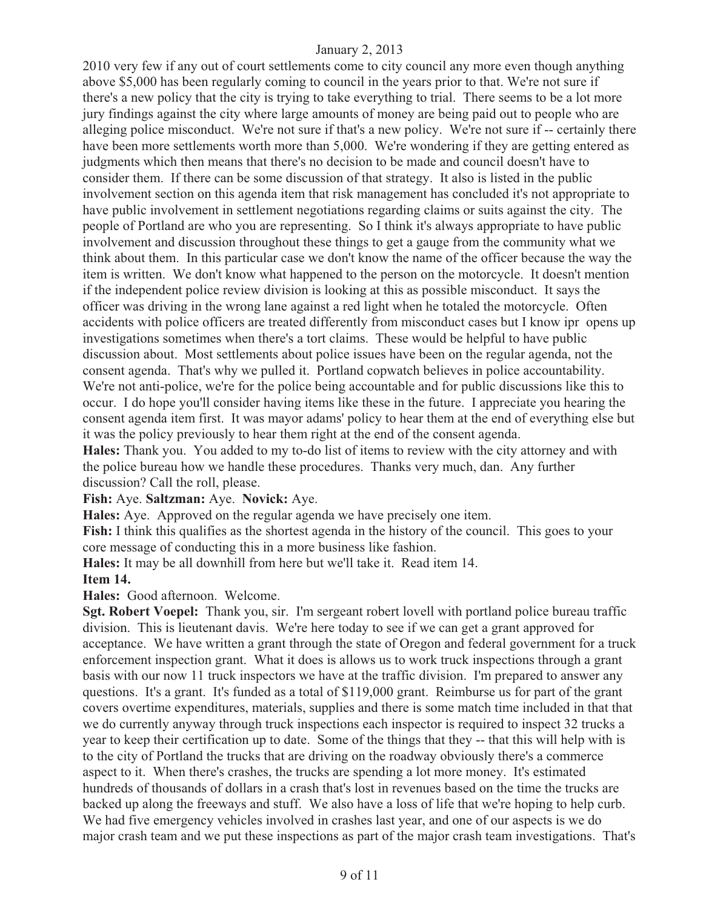2010 very few if any out of court settlements come to city council any more even though anything above \$5,000 has been regularly coming to council in the years prior to that. We're not sure if there's a new policy that the city is trying to take everything to trial. There seems to be a lot more jury findings against the city where large amounts of money are being paid out to people who are alleging police misconduct. We're not sure if that's a new policy. We're not sure if -- certainly there have been more settlements worth more than 5,000. We're wondering if they are getting entered as judgments which then means that there's no decision to be made and council doesn't have to consider them. If there can be some discussion of that strategy. It also is listed in the public involvement section on this agenda item that risk management has concluded it's not appropriate to have public involvement in settlement negotiations regarding claims or suits against the city. The people of Portland are who you are representing. So I think it's always appropriate to have public involvement and discussion throughout these things to get a gauge from the community what we think about them. In this particular case we don't know the name of the officer because the way the item is written. We don't know what happened to the person on the motorcycle. It doesn't mention if the independent police review division is looking at this as possible misconduct. It says the officer was driving in the wrong lane against a red light when he totaled the motorcycle. Often accidents with police officers are treated differently from misconduct cases but I know ipr opens up investigations sometimes when there's a tort claims. These would be helpful to have public discussion about. Most settlements about police issues have been on the regular agenda, not the consent agenda. That's why we pulled it. Portland copwatch believes in police accountability. We're not anti-police, we're for the police being accountable and for public discussions like this to occur. I do hope you'll consider having items like these in the future. I appreciate you hearing the consent agenda item first. It was mayor adams' policy to hear them at the end of everything else but it was the policy previously to hear them right at the end of the consent agenda.

**Hales:** Thank you. You added to my to-do list of items to review with the city attorney and with the police bureau how we handle these procedures. Thanks very much, dan. Any further discussion? Call the roll, please.

**Fish:** Aye. **Saltzman:** Aye. **Novick:** Aye.

**Hales:** Aye. Approved on the regular agenda we have precisely one item.

**Fish:** I think this qualifies as the shortest agenda in the history of the council. This goes to your core message of conducting this in a more business like fashion.

**Hales:** It may be all downhill from here but we'll take it. Read item 14.

#### **Item 14.**

**Hales:** Good afternoon. Welcome.

**Sgt. Robert Voepel:** Thank you, sir. I'm sergeant robert lovell with portland police bureau traffic division. This is lieutenant davis. We're here today to see if we can get a grant approved for acceptance. We have written a grant through the state of Oregon and federal government for a truck enforcement inspection grant. What it does is allows us to work truck inspections through a grant basis with our now 11 truck inspectors we have at the traffic division. I'm prepared to answer any questions. It's a grant. It's funded as a total of \$119,000 grant. Reimburse us for part of the grant covers overtime expenditures, materials, supplies and there is some match time included in that that we do currently anyway through truck inspections each inspector is required to inspect 32 trucks a year to keep their certification up to date. Some of the things that they -- that this will help with is to the city of Portland the trucks that are driving on the roadway obviously there's a commerce aspect to it. When there's crashes, the trucks are spending a lot more money. It's estimated hundreds of thousands of dollars in a crash that's lost in revenues based on the time the trucks are backed up along the freeways and stuff. We also have a loss of life that we're hoping to help curb. We had five emergency vehicles involved in crashes last year, and one of our aspects is we do major crash team and we put these inspections as part of the major crash team investigations. That's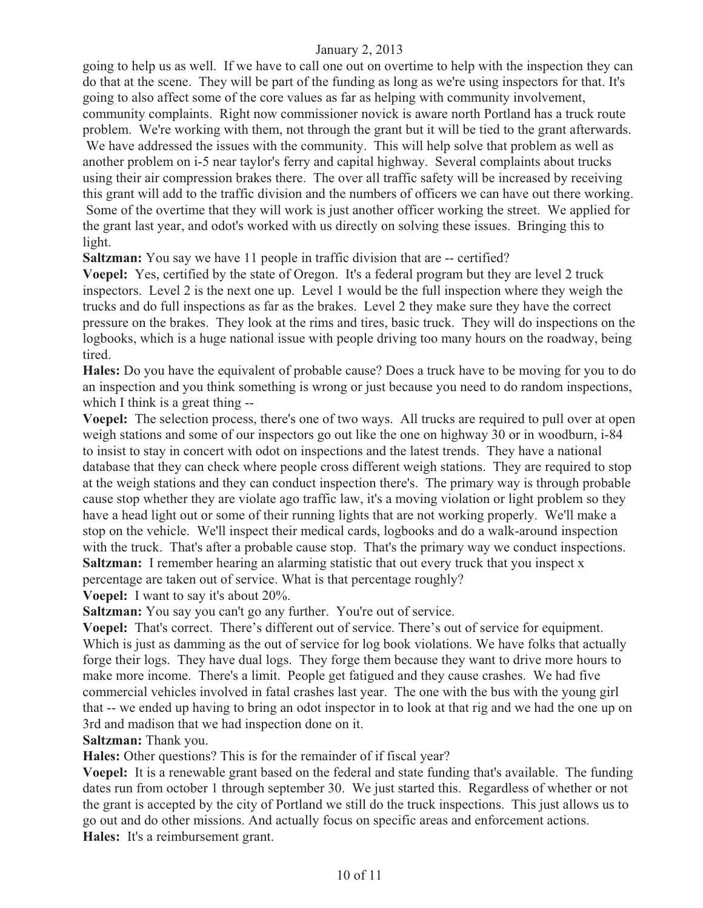going to help us as well. If we have to call one out on overtime to help with the inspection they can do that at the scene. They will be part of the funding as long as we're using inspectors for that. It's going to also affect some of the core values as far as helping with community involvement, community complaints. Right now commissioner novick is aware north Portland has a truck route problem. We're working with them, not through the grant but it will be tied to the grant afterwards. We have addressed the issues with the community. This will help solve that problem as well as another problem on i-5 near taylor's ferry and capital highway. Several complaints about trucks using their air compression brakes there. The over all traffic safety will be increased by receiving this grant will add to the traffic division and the numbers of officers we can have out there working. Some of the overtime that they will work is just another officer working the street. We applied for the grant last year, and odot's worked with us directly on solving these issues. Bringing this to light.

**Saltzman:** You say we have 11 people in traffic division that are -- certified?

**Voepel:** Yes, certified by the state of Oregon. It's a federal program but they are level 2 truck inspectors. Level 2 is the next one up. Level 1 would be the full inspection where they weigh the trucks and do full inspections as far as the brakes. Level 2 they make sure they have the correct pressure on the brakes. They look at the rims and tires, basic truck. They will do inspections on the logbooks, which is a huge national issue with people driving too many hours on the roadway, being tired.

**Hales:** Do you have the equivalent of probable cause? Does a truck have to be moving for you to do an inspection and you think something is wrong or just because you need to do random inspections, which I think is a great thing --

**Voepel:** The selection process, there's one of two ways. All trucks are required to pull over at open weigh stations and some of our inspectors go out like the one on highway 30 or in woodburn, i-84 to insist to stay in concert with odot on inspections and the latest trends. They have a national database that they can check where people cross different weigh stations. They are required to stop at the weigh stations and they can conduct inspection there's. The primary way is through probable cause stop whether they are violate ago traffic law, it's a moving violation or light problem so they have a head light out or some of their running lights that are not working properly. We'll make a stop on the vehicle. We'll inspect their medical cards, logbooks and do a walk-around inspection with the truck. That's after a probable cause stop. That's the primary way we conduct inspections. **Saltzman:** I remember hearing an alarming statistic that out every truck that you inspect x percentage are taken out of service. What is that percentage roughly?

**Voepel:** I want to say it's about 20%.

Saltzman: You say you can't go any further. You're out of service.

**Voepel:** That's correct. There's different out of service. There's out of service for equipment. Which is just as damming as the out of service for log book violations. We have folks that actually forge their logs. They have dual logs. They forge them because they want to drive more hours to make more income. There's a limit. People get fatigued and they cause crashes. We had five commercial vehicles involved in fatal crashes last year. The one with the bus with the young girl that -- we ended up having to bring an odot inspector in to look at that rig and we had the one up on 3rd and madison that we had inspection done on it.

#### **Saltzman:** Thank you.

**Hales:** Other questions? This is for the remainder of if fiscal year?

**Voepel:** It is a renewable grant based on the federal and state funding that's available. The funding dates run from october 1 through september 30. We just started this. Regardless of whether or not the grant is accepted by the city of Portland we still do the truck inspections. This just allows us to go out and do other missions. And actually focus on specific areas and enforcement actions. **Hales:** It's a reimbursement grant.